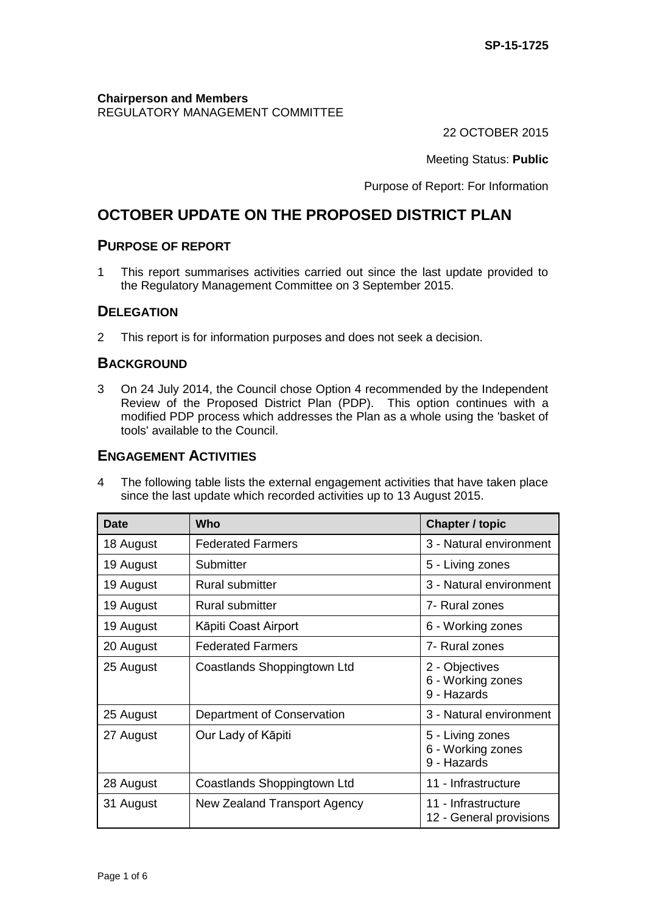#### **Chairperson and Members** REGULATORY MANAGEMENT COMMITTEE

22 OCTOBER 2015

Meeting Status: **Public**

Purpose of Report: For Information

# **OCTOBER UPDATE ON THE PROPOSED DISTRICT PLAN**

### **PURPOSE OF REPORT**

1 This report summarises activities carried out since the last update provided to the Regulatory Management Committee on 3 September 2015.

### **DELEGATION**

2 This report is for information purposes and does not seek a decision.

### **BACKGROUND**

3 On 24 July 2014, the Council chose Option 4 recommended by the Independent Review of the Proposed District Plan (PDP). This option continues with a modified PDP process which addresses the Plan as a whole using the 'basket of tools' available to the Council.

## **ENGAGEMENT ACTIVITIES**

4 The following table lists the external engagement activities that have taken place since the last update which recorded activities up to 13 August 2015.

| <b>Date</b> | Who                          | <b>Chapter / topic</b>                               |
|-------------|------------------------------|------------------------------------------------------|
| 18 August   | <b>Federated Farmers</b>     | 3 - Natural environment                              |
| 19 August   | Submitter                    | 5 - Living zones                                     |
| 19 August   | <b>Rural submitter</b>       | 3 - Natural environment                              |
| 19 August   | <b>Rural submitter</b>       | 7- Rural zones                                       |
| 19 August   | Kāpiti Coast Airport         | 6 - Working zones                                    |
| 20 August   | <b>Federated Farmers</b>     | 7- Rural zones                                       |
| 25 August   | Coastlands Shoppingtown Ltd  | 2 - Objectives<br>6 - Working zones<br>9 - Hazards   |
| 25 August   | Department of Conservation   | 3 - Natural environment                              |
| 27 August   | Our Lady of Kāpiti           | 5 - Living zones<br>6 - Working zones<br>9 - Hazards |
| 28 August   | Coastlands Shoppingtown Ltd  | 11 - Infrastructure                                  |
| 31 August   | New Zealand Transport Agency | 11 - Infrastructure<br>12 - General provisions       |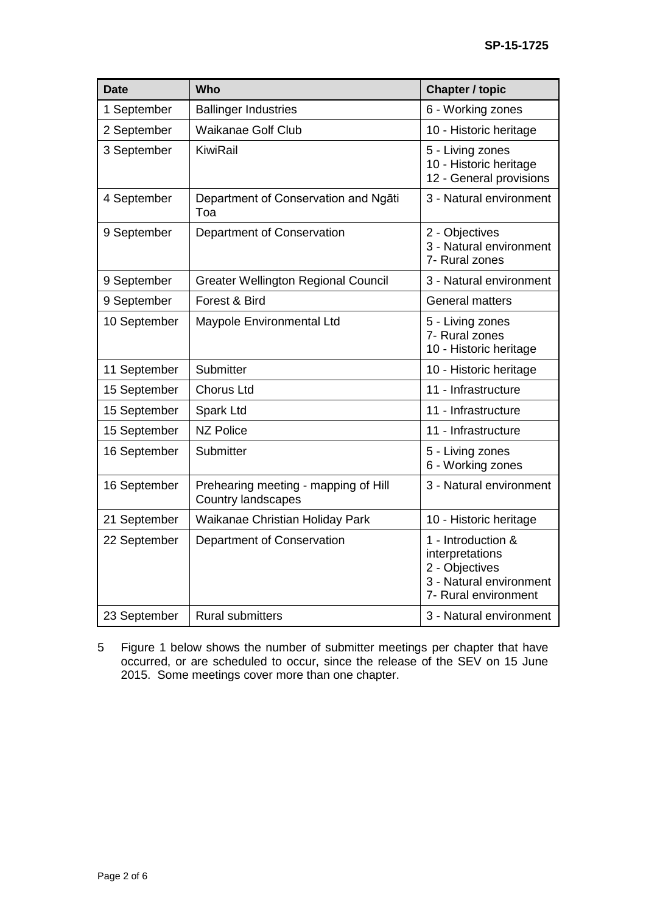| <b>Date</b>  | Who                                                               | <b>Chapter / topic</b>                                                                                     |
|--------------|-------------------------------------------------------------------|------------------------------------------------------------------------------------------------------------|
| 1 September  | <b>Ballinger Industries</b>                                       | 6 - Working zones                                                                                          |
| 2 September  | <b>Waikanae Golf Club</b>                                         | 10 - Historic heritage                                                                                     |
| 3 September  | KiwiRail                                                          | 5 - Living zones<br>10 - Historic heritage<br>12 - General provisions                                      |
| 4 September  | Department of Conservation and Ngāti<br>Toa                       | 3 - Natural environment                                                                                    |
| 9 September  | Department of Conservation                                        | 2 - Objectives<br>3 - Natural environment<br>7- Rural zones                                                |
| 9 September  | <b>Greater Wellington Regional Council</b>                        | 3 - Natural environment                                                                                    |
| 9 September  | Forest & Bird                                                     | <b>General matters</b>                                                                                     |
| 10 September | Maypole Environmental Ltd                                         | 5 - Living zones<br>7- Rural zones<br>10 - Historic heritage                                               |
| 11 September | Submitter                                                         | 10 - Historic heritage                                                                                     |
| 15 September | <b>Chorus Ltd</b>                                                 | 11 - Infrastructure                                                                                        |
| 15 September | Spark Ltd                                                         | 11 - Infrastructure                                                                                        |
| 15 September | <b>NZ Police</b>                                                  | 11 - Infrastructure                                                                                        |
| 16 September | Submitter                                                         | 5 - Living zones<br>6 - Working zones                                                                      |
| 16 September | Prehearing meeting - mapping of Hill<br><b>Country landscapes</b> | 3 - Natural environment                                                                                    |
| 21 September | Waikanae Christian Holiday Park                                   | 10 - Historic heritage                                                                                     |
| 22 September | Department of Conservation                                        | 1 - Introduction &<br>interpretations<br>2 - Objectives<br>3 - Natural environment<br>7- Rural environment |
| 23 September | <b>Rural submitters</b>                                           | 3 - Natural environment                                                                                    |

5 Figure 1 below shows the number of submitter meetings per chapter that have occurred, or are scheduled to occur, since the release of the SEV on 15 June 2015. Some meetings cover more than one chapter.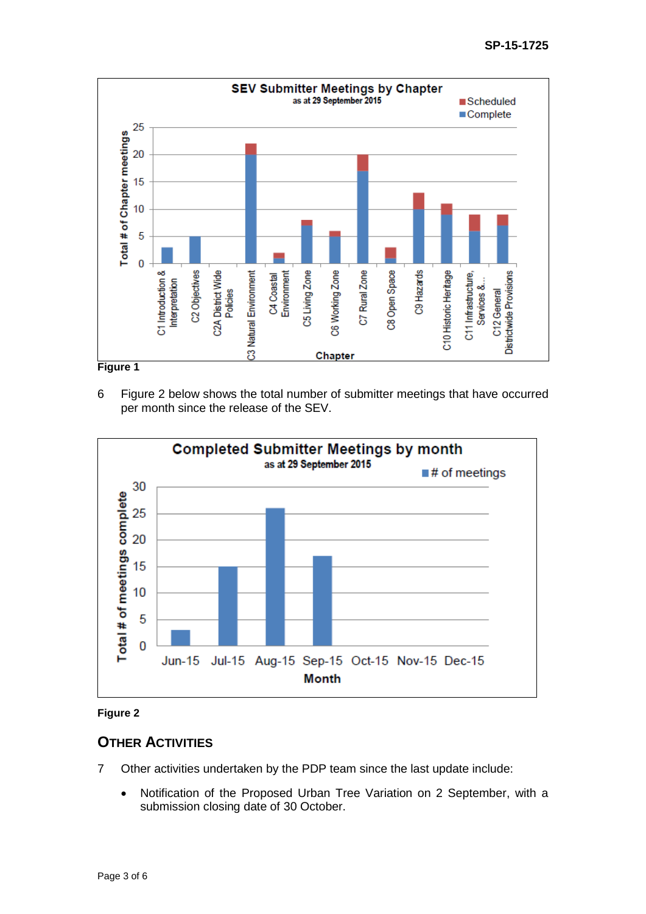

**Figure 1**

6 Figure 2 below shows the total number of submitter meetings that have occurred per month since the release of the SEV.





### **OTHER ACTIVITIES**

- 7 Other activities undertaken by the PDP team since the last update include:
	- Notification of the Proposed Urban Tree Variation on 2 September, with a submission closing date of 30 October.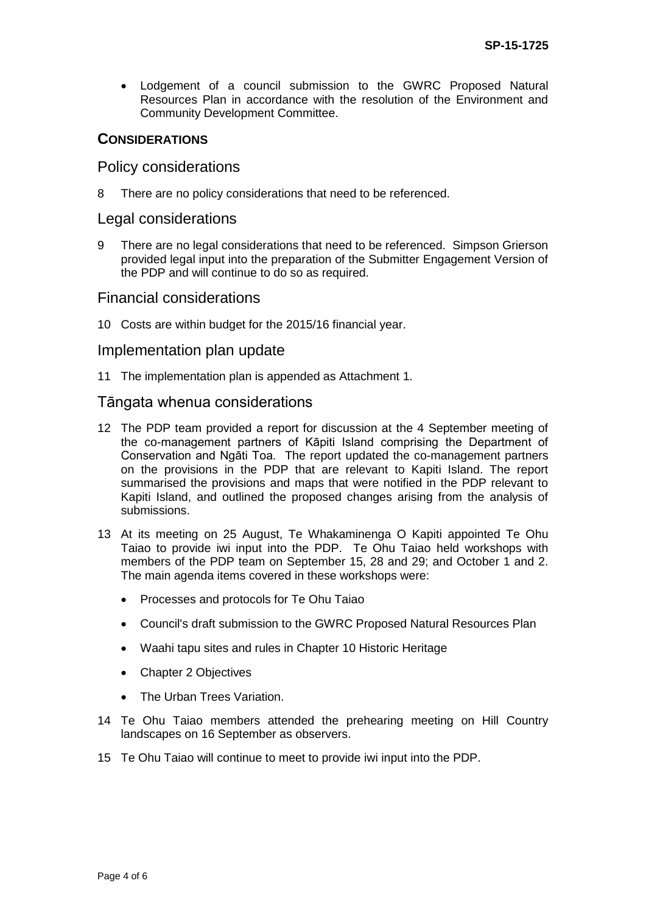Lodgement of a council submission to the GWRC Proposed Natural Resources Plan in accordance with the resolution of the Environment and Community Development Committee.

### **CONSIDERATIONS**

#### Policy considerations

8 There are no policy considerations that need to be referenced.

#### Legal considerations

9 There are no legal considerations that need to be referenced. Simpson Grierson provided legal input into the preparation of the Submitter Engagement Version of the PDP and will continue to do so as required.

#### Financial considerations

10 Costs are within budget for the 2015/16 financial year.

#### Implementation plan update

11 The implementation plan is appended as Attachment 1.

#### Tāngata whenua considerations

- 12 The PDP team provided a report for discussion at the 4 September meeting of the co-management partners of Kāpiti Island comprising the Department of Conservation and Ngāti Toa. The report updated the co-management partners on the provisions in the PDP that are relevant to Kapiti Island. The report summarised the provisions and maps that were notified in the PDP relevant to Kapiti Island, and outlined the proposed changes arising from the analysis of submissions.
- 13 At its meeting on 25 August, Te Whakaminenga O Kapiti appointed Te Ohu Taiao to provide iwi input into the PDP. Te Ohu Taiao held workshops with members of the PDP team on September 15, 28 and 29; and October 1 and 2. The main agenda items covered in these workshops were:
	- Processes and protocols for Te Ohu Taiao
	- Council's draft submission to the GWRC Proposed Natural Resources Plan
	- Waahi tapu sites and rules in Chapter 10 Historic Heritage
	- Chapter 2 Objectives
	- The Urban Trees Variation.
- 14 Te Ohu Taiao members attended the prehearing meeting on Hill Country landscapes on 16 September as observers.
- 15 Te Ohu Taiao will continue to meet to provide iwi input into the PDP.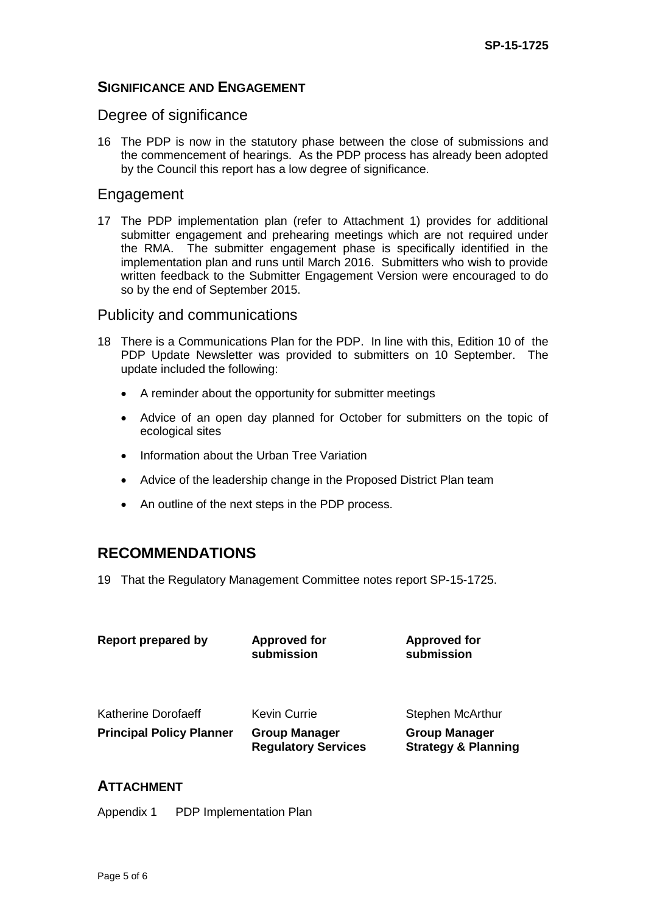### **SIGNIFICANCE AND ENGAGEMENT**

### Degree of significance

16 The PDP is now in the statutory phase between the close of submissions and the commencement of hearings. As the PDP process has already been adopted by the Council this report has a low degree of significance.

### Engagement

17 The PDP implementation plan (refer to Attachment 1) provides for additional submitter engagement and prehearing meetings which are not required under the RMA. The submitter engagement phase is specifically identified in the implementation plan and runs until March 2016. Submitters who wish to provide written feedback to the Submitter Engagement Version were encouraged to do so by the end of September 2015.

### Publicity and communications

- 18 There is a Communications Plan for the PDP. In line with this, Edition 10 of the PDP Update Newsletter was provided to submitters on 10 September. The update included the following:
	- A reminder about the opportunity for submitter meetings
	- Advice of an open day planned for October for submitters on the topic of ecological sites
	- Information about the Urban Tree Variation
	- Advice of the leadership change in the Proposed District Plan team
	- An outline of the next steps in the PDP process.

# **RECOMMENDATIONS**

19 That the Regulatory Management Committee notes report SP-15-1725.

| <b>Report prepared by</b>       | <b>Approved for</b><br>submission                  | <b>Approved for</b><br>submission                      |
|---------------------------------|----------------------------------------------------|--------------------------------------------------------|
| Katherine Dorofaeff             | Kevin Currie                                       | Stephen McArthur                                       |
| <b>Principal Policy Planner</b> | <b>Group Manager</b><br><b>Regulatory Services</b> | <b>Group Manager</b><br><b>Strategy &amp; Planning</b> |

### **ATTACHMENT**

Appendix 1 PDP Implementation Plan